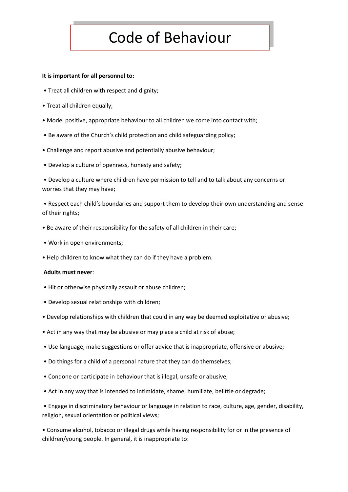## Code of Behaviour

## **It is important for all personnel to:**

- Treat all children with respect and dignity;
- Treat all children equally;
- Model positive, appropriate behaviour to all children we come into contact with;
- Be aware of the Church's child protection and child safeguarding policy;
- Challenge and report abusive and potentially abusive behaviour;
- Develop a culture of openness, honesty and safety;

• Develop a culture where children have permission to tell and to talk about any concerns or worries that they may have;

• Respect each child's boundaries and support them to develop their own understanding and sense of their rights;

- Be aware of their responsibility for the safety of all children in their care;
- Work in open environments;
- Help children to know what they can do if they have a problem.

## **Adults must never**:

- Hit or otherwise physically assault or abuse children;
- Develop sexual relationships with children;
- Develop relationships with children that could in any way be deemed exploitative or abusive;
- Act in any way that may be abusive or may place a child at risk of abuse;
- Use language, make suggestions or offer advice that is inappropriate, offensive or abusive;
- Do things for a child of a personal nature that they can do themselves;
- Condone or participate in behaviour that is illegal, unsafe or abusive;
- Act in any way that is intended to intimidate, shame, humiliate, belittle or degrade;

• Engage in discriminatory behaviour or language in relation to race, culture, age, gender, disability, religion, sexual orientation or political views;

• Consume alcohol, tobacco or illegal drugs while having responsibility for or in the presence of children/young people. In general, it is inappropriate to: